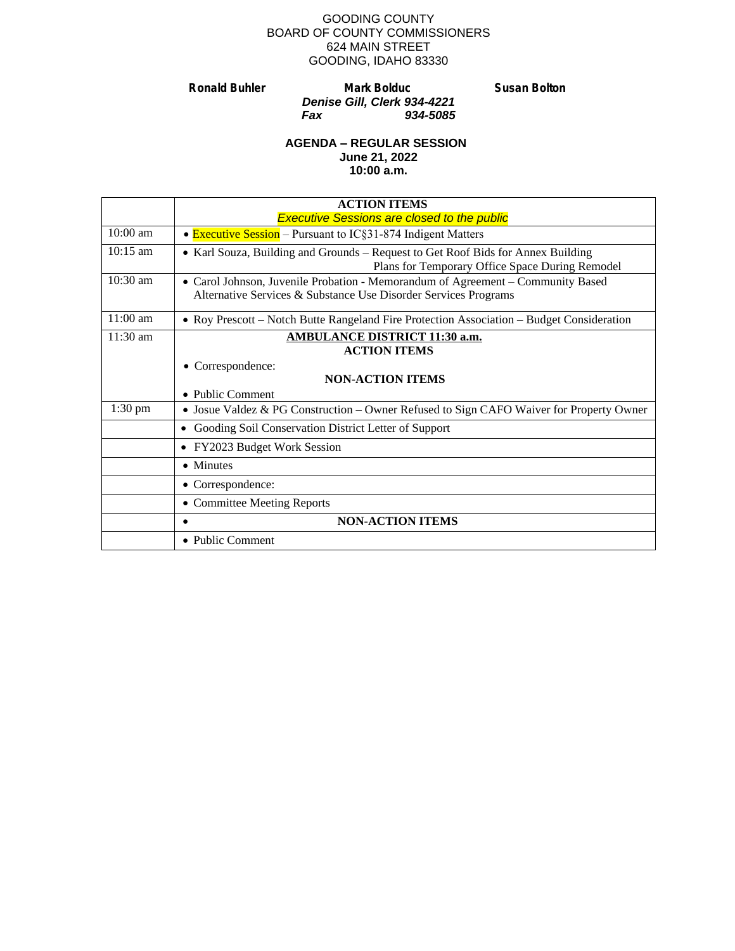#### GOODING COUNTY BOARD OF COUNTY COMMISSIONERS 624 MAIN STREET GOODING, IDAHO 83330

**Ronald Buhler Mark Bolduc Susan Bolton** *Denise Gill, Clerk 934-4221 Fax 934-5085*

#### **AGENDA – REGULAR SESSION June 21, 2022 10:00 a.m.**

|                    | <b>ACTION ITEMS</b>                                                                                                                                |
|--------------------|----------------------------------------------------------------------------------------------------------------------------------------------------|
|                    | <b>Executive Sessions are closed to the public</b>                                                                                                 |
| $10:00$ am         | • <b>Executive Session</b> – Pursuant to IC§31-874 Indigent Matters                                                                                |
| $10:15 \text{ am}$ | • Karl Souza, Building and Grounds – Request to Get Roof Bids for Annex Building<br>Plans for Temporary Office Space During Remodel                |
| $10:30$ am         | • Carol Johnson, Juvenile Probation - Memorandum of Agreement – Community Based<br>Alternative Services & Substance Use Disorder Services Programs |
| $11:00$ am         | • Roy Prescott – Notch Butte Rangeland Fire Protection Association – Budget Consideration                                                          |
| $11:30$ am         | <b>AMBULANCE DISTRICT 11:30 a.m.</b>                                                                                                               |
|                    | <b>ACTION ITEMS</b>                                                                                                                                |
|                    | Correspondence:                                                                                                                                    |
|                    | <b>NON-ACTION ITEMS</b>                                                                                                                            |
|                    | • Public Comment                                                                                                                                   |
| $1:30$ pm          | • Josue Valdez & PG Construction – Owner Refused to Sign CAFO Waiver for Property Owner                                                            |
|                    | Gooding Soil Conservation District Letter of Support<br>$\bullet$                                                                                  |
|                    | FY2023 Budget Work Session<br>$\bullet$                                                                                                            |
|                    | • Minutes                                                                                                                                          |
|                    | • Correspondence:                                                                                                                                  |
|                    | • Committee Meeting Reports                                                                                                                        |
|                    | <b>NON-ACTION ITEMS</b>                                                                                                                            |
|                    | • Public Comment                                                                                                                                   |